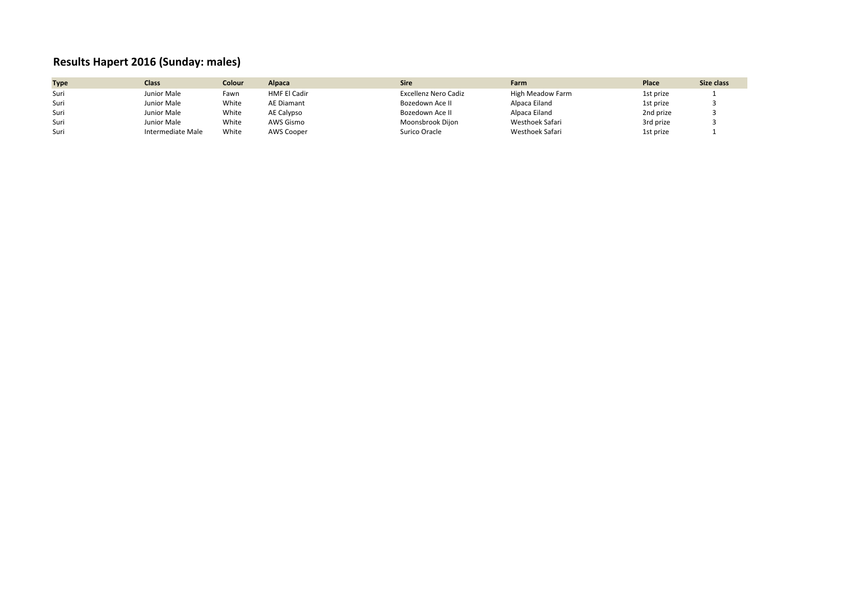## **Results Hapert 2016 (Sunday: males)**

| <b>Type</b> | Class             | Colour | Alpaca              | <b>Sire</b>          | Farm             | Place     | Size class |
|-------------|-------------------|--------|---------------------|----------------------|------------------|-----------|------------|
| Suri        | Junior Male       | Fawn   | <b>HMF El Cadir</b> | Excellenz Nero Cadiz | High Meadow Farm | 1st prize |            |
| Suri        | Junior Male       | White  | <b>AE Diamant</b>   | Bozedown Ace II      | Alpaca Eiland    | 1st prize |            |
| Suri        | Junior Male       | White  | AE Calypso          | Bozedown Ace II      | Alpaca Eiland    | 2nd prize |            |
| Suri        | Junior Male       | White  | AWS Gismo           | Moonsbrook Dijon     | Westhoek Safari  | 3rd prize |            |
| Suri        | Intermediate Male | White  | AWS Cooper          | Surico Oracle        | Westhoek Safari  | 1st prize |            |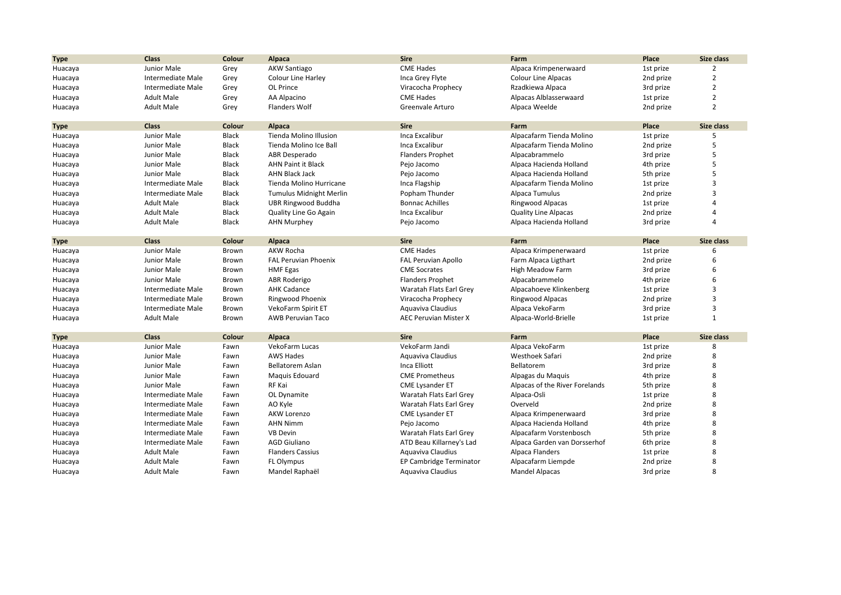| <b>Type</b> | <b>Class</b>             | Colour | Alpaca                         | <b>Sire</b>                  | Farm                           | Place     | Size class              |
|-------------|--------------------------|--------|--------------------------------|------------------------------|--------------------------------|-----------|-------------------------|
| Huacaya     | Junior Male              | Grey   | <b>AKW Santiago</b>            | <b>CME Hades</b>             | Alpaca Krimpenerwaard          | 1st prize | $\overline{2}$          |
| Huacaya     | <b>Intermediate Male</b> | Grey   | <b>Colour Line Harley</b>      | Inca Grey Flyte              | <b>Colour Line Alpacas</b>     | 2nd prize | $\overline{2}$          |
| Huacaya     | Intermediate Male        | Grey   | OL Prince                      | Viracocha Prophecy           | Rzadkiewa Alpaca               | 3rd prize | $\overline{2}$          |
| Huacaya     | <b>Adult Male</b>        | Grey   | AA Alpacino                    | <b>CME Hades</b>             | Alpacas Alblasserwaard         | 1st prize | $\overline{2}$          |
| Huacaya     | <b>Adult Male</b>        | Grey   | <b>Flanders Wolf</b>           | Greenvale Arturo             | Alpaca Weelde                  | 2nd prize | $\overline{2}$          |
|             |                          |        |                                |                              |                                |           |                         |
| <b>Type</b> | <b>Class</b>             | Colour | Alpaca                         | <b>Sire</b>                  | Farm                           | Place     | <b>Size class</b>       |
| Huacaya     | Junior Male              | Black  | <b>Tienda Molino Illusion</b>  | Inca Excalibur               | Alpacafarm Tienda Molino       | 1st prize | 5                       |
| Huacaya     | Junior Male              | Black  | Tienda Molino Ice Ball         | Inca Excalibur               | Alpacafarm Tienda Molino       | 2nd prize | 5                       |
| Huacaya     | Junior Male              | Black  | ABR Desperado                  | <b>Flanders Prophet</b>      | Alpacabrammelo                 | 3rd prize | 5                       |
| Huacaya     | Junior Male              | Black  | <b>AHN Paint it Black</b>      | Pejo Jacomo                  | Alpaca Hacienda Holland        | 4th prize | 5                       |
| Huacaya     | Junior Male              | Black  | <b>AHN Black Jack</b>          | Pejo Jacomo                  | Alpaca Hacienda Holland        | 5th prize | 5                       |
| Huacaya     | Intermediate Male        | Black  | Tienda Molino Hurricane        | Inca Flagship                | Alpacafarm Tienda Molino       | 1st prize | 3                       |
| Huacaya     | Intermediate Male        | Black  | <b>Tumulus Midnight Merlin</b> | Popham Thunder               | Alpaca Tumulus                 | 2nd prize | 3                       |
| Huacaya     | <b>Adult Male</b>        | Black  | UBR Ringwood Buddha            | <b>Bonnac Achilles</b>       | <b>Ringwood Alpacas</b>        | 1st prize |                         |
| Huacaya     | <b>Adult Male</b>        | Black  | Quality Line Go Again          | Inca Excalibur               | <b>Quality Line Alpacas</b>    | 2nd prize |                         |
| Huacaya     | <b>Adult Male</b>        | Black  | <b>AHN Murphey</b>             | Pejo Jacomo                  | Alpaca Hacienda Holland        | 3rd prize | $\overline{4}$          |
|             |                          |        |                                |                              |                                |           |                         |
| <b>Type</b> | <b>Class</b>             | Colour | <b>Alpaca</b>                  | <b>Sire</b>                  | Farm                           | Place     | Size class              |
| Huacaya     | Junior Male              | Brown  | AKW Rocha                      | <b>CME Hades</b>             | Alpaca Krimpenerwaard          | 1st prize | 6                       |
| Huacaya     | Junior Male              | Brown  | <b>FAL Peruvian Phoenix</b>    | <b>FAL Peruvian Apollo</b>   | Farm Alpaca Ligthart           | 2nd prize | 6                       |
| Huacaya     | Junior Male              | Brown  | <b>HMF Egas</b>                | <b>CME Socrates</b>          | High Meadow Farm               | 3rd prize | 6                       |
| Huacaya     | Junior Male              | Brown  | <b>ABR Roderigo</b>            | <b>Flanders Prophet</b>      | Alpacabrammelo                 | 4th prize | 6                       |
| Huacaya     | Intermediate Male        | Brown  | <b>AHK Cadance</b>             | Waratah Flats Earl Grey      | Alpacahoeve Klinkenberg        | 1st prize | 3                       |
| Huacaya     | Intermediate Male        | Brown  | Ringwood Phoenix               | Viracocha Prophecy           | <b>Ringwood Alpacas</b>        | 2nd prize | 3                       |
| Huacaya     | Intermediate Male        | Brown  | VekoFarm Spirit ET             | Aquaviva Claudius            | Alpaca VekoFarm                | 3rd prize | 3                       |
| Huacaya     | <b>Adult Male</b>        | Brown  | <b>AWB Peruvian Taco</b>       | <b>AEC Peruvian Mister X</b> | Alpaca-World-Brielle           | 1st prize | $\mathbf{1}$            |
|             |                          |        |                                |                              |                                |           |                         |
| <b>Type</b> | <b>Class</b>             | Colour | <b>Alpaca</b>                  | <b>Sire</b>                  | Farm                           | Place     | Size class              |
| Huacaya     | Junior Male              | Fawn   | VekoFarm Lucas                 | VekoFarm Jandi               | Alpaca VekoFarm                | 1st prize | 8                       |
| Huacaya     | Junior Male              | Fawn   | <b>AWS Hades</b>               | Aquaviva Claudius            | Westhoek Safari                | 2nd prize | 8                       |
| Huacaya     | Junior Male              | Fawn   | Bellatorem Aslan               | Inca Elliott                 | Bellatorem                     | 3rd prize | 8                       |
| Huacaya     | Junior Male              | Fawn   | Maguis Edouard                 | <b>CME Prometheus</b>        | Alpagas du Maquis              | 4th prize | 8                       |
| Huacaya     | Junior Male              | Fawn   | RF Kai                         | <b>CME Lysander ET</b>       | Alpacas of the River Forelands | 5th prize | 8                       |
| Huacaya     | <b>Intermediate Male</b> | Fawn   | OL Dynamite                    | Waratah Flats Earl Grey      | Alpaca-Osli                    | 1st prize | 8                       |
| Huacaya     | Intermediate Male        | Fawn   | AO Kyle                        | Waratah Flats Earl Grey      | Overveld                       | 2nd prize | 8                       |
| Huacaya     | Intermediate Male        | Fawn   | <b>AKW Lorenzo</b>             | <b>CME Lysander ET</b>       | Alpaca Krimpenerwaard          | 3rd prize | 8                       |
| Huacaya     | <b>Intermediate Male</b> | Fawn   | <b>AHN Nimm</b>                | Pejo Jacomo                  | Alpaca Hacienda Holland        | 4th prize | 8                       |
| Huacaya     | Intermediate Male        | Fawn   | <b>VB Devin</b>                | Waratah Flats Earl Grey      | Alpacafarm Vorstenbosch        | 5th prize | 8                       |
| Huacaya     | Intermediate Male        | Fawn   | <b>AGD Giuliano</b>            | ATD Beau Killarney's Lad     | Alpaca Garden van Dorsserhof   | 6th prize | 8                       |
| Huacaya     | <b>Adult Male</b>        | Fawn   | <b>Flanders Cassius</b>        | Aquaviva Claudius            | Alpaca Flanders                | 1st prize | 8                       |
| Huacaya     | <b>Adult Male</b>        | Fawn   | <b>FL Olympus</b>              | EP Cambridge Terminator      | Alpacafarm Liempde             | 2nd prize | 8                       |
| Huacaya     | <b>Adult Male</b>        | Fawn   | Mandel Raphaël                 | Aquaviva Claudius            | <b>Mandel Alpacas</b>          | 3rd prize | $\mathsf{\overline{8}}$ |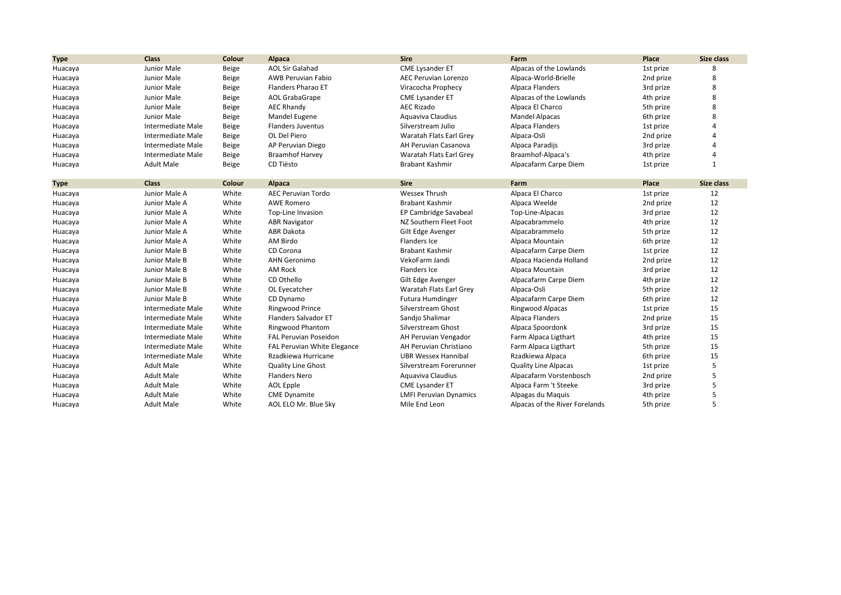| <b>Type</b> | <b>Class</b>      | Colour | Alpaca                       | <b>Sire</b>                   | Farm                           | Place     | Size class |
|-------------|-------------------|--------|------------------------------|-------------------------------|--------------------------------|-----------|------------|
| Huacaya     | Junior Male       | Beige  | <b>AOL Sir Galahad</b>       | <b>CME Lysander ET</b>        | Alpacas of the Lowlands        | 1st prize | 8          |
| Huacaya     | Junior Male       | Beige  | <b>AWB Peruvian Fabio</b>    | AEC Peruvian Lorenzo          | Alpaca-World-Brielle           | 2nd prize | 8          |
| Huacaya     | Junior Male       | Beige  | Flanders Pharao ET           | Viracocha Prophecy            | Alpaca Flanders                | 3rd prize | 8          |
| Huacaya     | Junior Male       | Beige  | AOL GrabaGrape               | <b>CME Lysander ET</b>        | Alpacas of the Lowlands        | 4th prize | 8          |
| Huacaya     | Junior Male       | Beige  | <b>AEC Rhandy</b>            | <b>AEC Rizado</b>             | Alpaca El Charco               | 5th prize | 8          |
| Huacaya     | Junior Male       | Beige  | Mandel Eugene                | Aquaviva Claudius             | <b>Mandel Alpacas</b>          | 6th prize | 8          |
| Huacaya     | Intermediate Male | Beige  | <b>Flanders Juventus</b>     | Silverstream Julio            | Alpaca Flanders                | 1st prize |            |
| Huacaya     | Intermediate Male | Beige  | OL Del Piero                 | Waratah Flats Earl Grey       | Alpaca-Osli                    | 2nd prize |            |
| Huacaya     | Intermediate Male | Beige  | AP Peruvian Diego            | AH Peruvian Casanova          | Alpaca Paradijs                | 3rd prize |            |
| Huacaya     | Intermediate Male | Beige  | <b>Braamhof Harvey</b>       | Waratah Flats Earl Grey       | Braamhof-Alpaca's              | 4th prize | Δ          |
| Huacaya     | <b>Adult Male</b> | Beige  | CD Tiësto                    | Brabant Kashmir               | Alpacafarm Carpe Diem          | 1st prize | 1          |
| <b>Type</b> | <b>Class</b>      | Colour | Alpaca                       | <b>Sire</b>                   | Farm                           | Place     | Size class |
| Huacaya     | Junior Male A     | White  | <b>AEC Peruvian Tordo</b>    | <b>Wessex Thrush</b>          | Alpaca El Charco               | 1st prize | 12         |
| Huacaya     | Junior Male A     | White  | <b>AWE Romero</b>            | <b>Brabant Kashmir</b>        | Alpaca Weelde                  | 2nd prize | 12         |
| Huacaya     | Junior Male A     | White  | Top-Line Invasion            | EP Cambridge Savabeal         | Top-Line-Alpacas               | 3rd prize | 12         |
| Huacaya     | Junior Male A     | White  | <b>ABR Navigator</b>         | NZ Southern Fleet Foot        | Alpacabrammelo                 | 4th prize | 12         |
| Huacaya     | Junior Male A     | White  | <b>ABR Dakota</b>            | Gilt Edge Avenger             | Alpacabrammelo                 | 5th prize | 12         |
| Huacaya     | Junior Male A     | White  | AM Birdo                     | Flanders Ice                  | Alpaca Mountain                | 6th prize | 12         |
| Huacaya     | Junior Male B     | White  | CD Corona                    | <b>Brabant Kashmir</b>        | Alpacafarm Carpe Diem          | 1st prize | 12         |
| Huacaya     | Junior Male B     | White  | <b>AHN Geronimo</b>          | VekoFarm Jandi                | Alpaca Hacienda Holland        | 2nd prize | 12         |
| Huacaya     | Junior Male B     | White  | AM Rock                      | Flanders Ice                  | Alpaca Mountain                | 3rd prize | 12         |
| Huacaya     | Junior Male B     | White  | CD Othello                   | Gilt Edge Avenger             | Alpacafarm Carpe Diem          | 4th prize | 12         |
| Huacaya     | Junior Male B     | White  | OL Eyecatcher                | Waratah Flats Earl Grey       | Alpaca-Osli                    | 5th prize | 12         |
| Huacaya     | Junior Male B     | White  | CD Dynamo                    | <b>Futura Humdinger</b>       | Alpacafarm Carpe Diem          | 6th prize | 12         |
| Huacaya     | Intermediate Male | White  | Ringwood Prince              | Silverstream Ghost            | Ringwood Alpacas               | 1st prize | 15         |
| Huacaya     | Intermediate Male | White  | <b>Flanders Salvador ET</b>  | Sandjo Shalimar               | Alpaca Flanders                | 2nd prize | 15         |
| Huacaya     | Intermediate Male | White  | Ringwood Phantom             | Silverstream Ghost            | Alpaca Spoordonk               | 3rd prize | 15         |
| Huacaya     | Intermediate Male | White  | <b>FAL Peruvian Poseidon</b> | AH Peruvian Vengador          | Farm Alpaca Ligthart           | 4th prize | 15         |
| Huacaya     | Intermediate Male | White  | FAL Peruvian White Elegance  | AH Peruvian Christiano        | Farm Alpaca Ligthart           | 5th prize | 15         |
| Huacaya     | Intermediate Male | White  | Rzadkiewa Hurricane          | <b>UBR Wessex Hannibal</b>    | Rzadkiewa Alpaca               | 6th prize | 15         |
| Huacaya     | <b>Adult Male</b> | White  | <b>Quality Line Ghost</b>    | Silverstream Forerunner       | <b>Quality Line Alpacas</b>    | 1st prize | 5          |
| Huacaya     | <b>Adult Male</b> | White  | <b>Flanders Nero</b>         | Aquaviva Claudius             | Alpacafarm Vorstenbosch        | 2nd prize | 5          |
| Huacaya     | <b>Adult Male</b> | White  | AOL Epple                    | <b>CME Lysander ET</b>        | Alpaca Farm 't Steeke          | 3rd prize | 5          |
| Huacaya     | <b>Adult Male</b> | White  | <b>CME Dynamite</b>          | <b>LMFI Peruvian Dynamics</b> | Alpagas du Maquis              | 4th prize | 5          |
| Huacaya     | <b>Adult Male</b> | White  | AOL ELO Mr. Blue Sky         | Mile End Leon                 | Alpacas of the River Forelands | 5th prize | 5          |